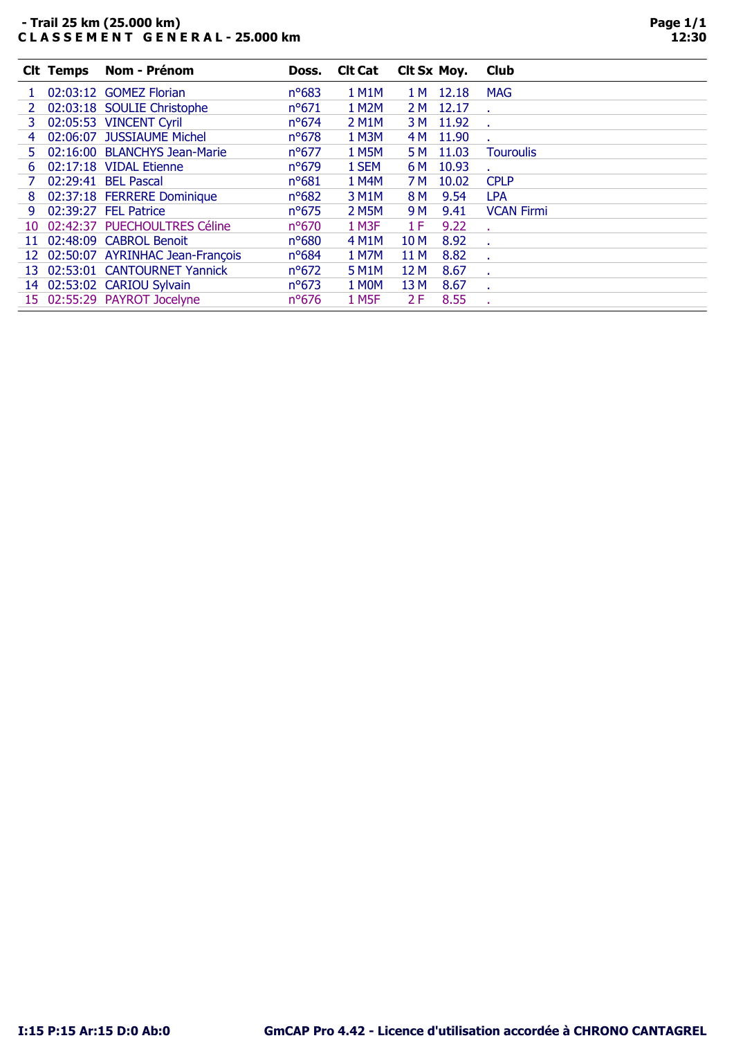## - Trail 25 km (25.000 km) C L A S S E M E N T G E N E R A L - 25.000 km

|     | <b>Clt Temps</b> | <b>Nom - Prénom</b>                | Doss.          | <b>Clt Cat</b>     | CIt Sx Moy. |       | <b>Club</b>       |
|-----|------------------|------------------------------------|----------------|--------------------|-------------|-------|-------------------|
|     |                  | 02:03:12 GOMEZ Florian             | $n^o$ 683      | <b>1 M1M</b>       | 1 M         | 12.18 | <b>MAG</b>        |
|     |                  | 02:03:18 SOULIE Christophe         | $n^{\circ}671$ | 1 M2M              | 2 M         | 12.17 |                   |
| 3.  |                  | 02:05:53 VINCENT Cyril             | $n^o$ 674      | 2 M <sub>1</sub> M | 3 M         | 11.92 |                   |
| 4   |                  | 02:06:07 JUSSIAUME Michel          | $n^o$ 678      | 1 M3M              | 4 M         | 11.90 |                   |
| 5.  |                  | 02:16:00 BLANCHYS Jean-Marie       | $n^o$ 677      | 1 M5M              | 5 M         | 11.03 | <b>Touroulis</b>  |
| 6   |                  | 02:17:18 VIDAL Etienne             | $n^o$ 679      | 1 SEM              | 6 M         | 10.93 |                   |
|     |                  | 02:29:41 BEL Pascal                | $n^o681$       | 1 M4M              | 7 M         | 10.02 | <b>CPLP</b>       |
| 8   |                  | 02:37:18 FERRERE Dominique         | $n^o682$       | 3 M1M              | 8 M         | 9.54  | <b>LPA</b>        |
| 9   |                  | 02:39:27 FEL Patrice               | $n^{\circ}675$ | 2 M5M              | 9 M         | 9.41  | <b>VCAN Firmi</b> |
| 10. |                  | 02:42:37 PUECHOULTRES Céline       | $n^o$ 670      | 1 M3F              | 1 F         | 9.22  |                   |
|     |                  | 11 02:48:09 CABROL Benoit          | $n^o$ 680      | 4 M1M              | 10 M        | 8.92  |                   |
|     |                  | 12 02:50:07 AYRINHAC Jean-François | $n^o$ 684      | 1 M7M              | 11 M        | 8.82  |                   |
| 13. |                  | 02:53:01 CANTOURNET Yannick        | $n^o$ 672      | 5 M <sub>1</sub> M | 12 M        | 8.67  |                   |
|     |                  | 14 02:53:02 CARIOU Sylvain         | $n^o$ 673      | 1 MOM              | 13 M        | 8.67  |                   |
|     |                  | 15 02:55:29 PAYROT Jocelyne        | $n^{\circ}676$ | 1 M <sub>5</sub> F | 2 F         | 8.55  |                   |